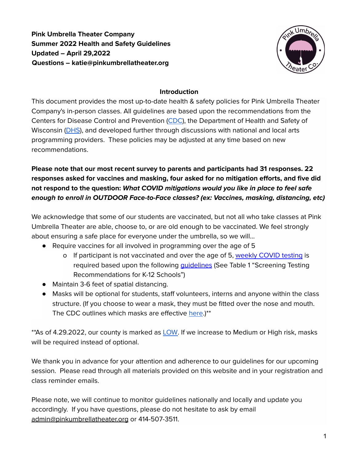**Pink Umbrella Theater Company Summer 2022 Health and Safety Guidelines Updated – April 29,2022 Questions – katie@pinkumbrellatheater.org**



### **Introduction**

This document provides the most up-to-date health & safety policies for Pink Umbrella Theater Company's in-person classes. All guidelines are based upon the recommendations from the Centers for Disease Control and Prevention [\(CDC\)](https://www.cdc.gov/coronavirus/2019-ncov/your-health/index.html), the Department of Health and Safety of Wisconsin [\(DHS](https://www.dhs.wisconsin.gov/)), and developed further through discussions with national and local arts programming providers. These policies may be adjusted at any time based on new recommendations.

**Please note that our most recent survey to parents and participants had 31 responses. 22 responses asked for vaccines and masking, four asked for no mitigation efforts, and five did not respond to the question: What COVID mitigations would you like in place to feel safe enough to enroll in OUTDOOR Face-to-Face classes? (ex: Vaccines, masking, distancing, etc)**

We acknowledge that some of our students are vaccinated, but not all who take classes at Pink Umbrella Theater are able, choose to, or are old enough to be vaccinated. We feel strongly about ensuring a safe place for everyone under the umbrella, so we will...

- Require vaccines for all involved in programming over the age of 5
	- o If participant is not vaccinated and over the age of 5, [weekly](https://www.dhs.wisconsin.gov/covid-19/community-testing.htm) COVID testing is required based upon the following quidelines (See Table 1 "Screening Testing Recommendations for K-12 Schools")
- Maintain 3-6 feet of spatial distancing.
- Masks will be optional for students, staff volunteers, interns and anyone within the class structure. (If you choose to wear a mask, they must be fitted over the nose and mouth. The CDC outlines which masks are effective [here](https://www.cdc.gov/coronavirus/2019-ncov/prevent-getting-sick/about-face-coverings.html).)\*\*

\*\*As of 4.29.2022, our county is marked as [LOW.](https://www.cdc.gov/coronavirus/2019-ncov/your-health/covid-by-county.html) If we increase to Medium or High risk, masks will be required instead of optional.

We thank you in advance for your attention and adherence to our guidelines for our upcoming session. Please read through all materials provided on this website and in your registration and class reminder emails.

Please note, we will continue to monitor guidelines nationally and locally and update you accordingly. If you have questions, please do not hesitate to ask by email admin@pinkumbrellatheater.org or 414-507-3511.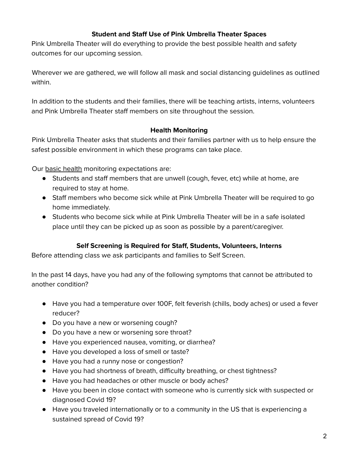## **Student and Staff Use of Pink Umbrella Theater Spaces**

Pink Umbrella Theater will do everything to provide the best possible health and safety outcomes for our upcoming session.

Wherever we are gathered, we will follow all mask and social distancing guidelines as outlined within.

In addition to the students and their families, there will be teaching artists, interns, volunteers and Pink Umbrella Theater staff members on site throughout the session.

### **Health Monitoring**

Pink Umbrella Theater asks that students and their families partner with us to help ensure the safest possible environment in which these programs can take place.

Our basic health monitoring expectations are:

- Students and staff members that are unwell (cough, fever, etc) while at home, are required to stay at home.
- Staff members who become sick while at Pink Umbrella Theater will be required to go home immediately.
- Students who become sick while at Pink Umbrella Theater will be in a safe isolated place until they can be picked up as soon as possible by a parent/caregiver.

## **Self Screening is Required for Staff, Students, Volunteers, Interns**

Before attending class we ask participants and families to Self Screen.

In the past 14 days, have you had any of the following symptoms that cannot be attributed to another condition?

- Have you had a temperature over 100F, felt feverish (chills, body aches) or used a fever reducer?
- Do you have a new or worsening cough?
- Do you have a new or worsening sore throat?
- Have you experienced nausea, vomiting, or diarrhea?
- Have you developed a loss of smell or taste?
- Have you had a runny nose or congestion?
- Have you had shortness of breath, difficulty breathing, or chest tightness?
- Have you had headaches or other muscle or body aches?
- Have you been in close contact with someone who is currently sick with suspected or diagnosed Covid 19?
- Have you traveled internationally or to a community in the US that is experiencing a sustained spread of Covid 19?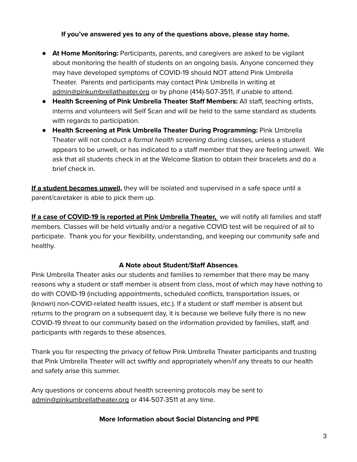## **If you've answered yes to any of the questions above, please stay home.**

- **At Home Monitoring:** Participants, parents, and caregivers are asked to be vigilant about monitoring the health of students on an ongoing basis. Anyone concerned they may have developed symptoms of COVID-19 should NOT attend Pink Umbrella Theater. Parents and participants may contact Pink Umbrella in writing at [admin@pinkumbrellatheater.org](mailto:admin@pinkumbrellatheater.org) or by phone (414)-507-3511, if unable to attend.
- **Health Screening of Pink Umbrella Theater Staff Members:** All staff, teaching artists, interns and volunteers will Self Scan and will be held to the same standard as students with regards to participation.
- **Health Screening at Pink Umbrella Theater During Programming:** Pink Umbrella Theater will not conduct a *formal health screening* during classes, unless a student appears to be unwell, or has indicated to a staff member that they are feeling unwell. We ask that all students check in at the Welcome Station to obtain their bracelets and do a brief check in.

**If a student becomes unwell,** they will be isolated and supervised in a safe space until a parent/caretaker is able to pick them up.

**If a case of COVID-19 is reported at Pink Umbrella Theater,** we will notify all families and staff members. Classes will be held virtually and/or a negative COVID test will be required of all to participate. Thank you for your flexibility, understanding, and keeping our community safe and healthy.

#### **A Note about Student/Staff Absences**.

Pink Umbrella Theater asks our students and families to remember that there may be many reasons why a student or staff member is absent from class, most of which may have nothing to do with COVID-19 (including appointments, scheduled conflicts, transportation issues, or (known) non-COVID-related health issues, etc.). If a student or staff member is absent but returns to the program on a subsequent day, it is because we believe fully there is no new COVID-19 threat to our community based on the information provided by families, staff, and participants with regards to these absences.

Thank you for respecting the privacy of fellow Pink Umbrella Theater participants and trusting that Pink Umbrella Theater will act swiftly and appropriately when/if any threats to our health and safety arise this summer.

Any questions or concerns about health screening protocols may be sent to [admin@pinkumbrellatheater.org](mailto:katie@pinkumbrellatheater.org) or 414-507-3511 at any time.

#### **More Information about Social Distancing and PPE**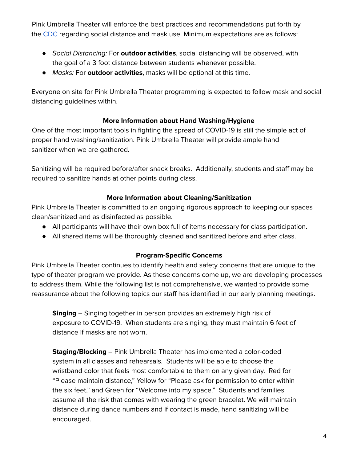Pink Umbrella Theater will enforce the best practices and recommendations put forth by the [CDC](https://www.cdc.gov/coronavirus/2019-ncov/prevent-getting-sick/social-distancing.html) regarding social distance and mask use. Minimum expectations are as follows:

- Social Distancing: For **outdoor activities**, social distancing will be observed, with the goal of a 3 foot distance between students whenever possible.
- Masks: For **outdoor activities**, masks will be optional at this time.

Everyone on site for Pink Umbrella Theater programming is expected to follow mask and social distancing guidelines within.

# **More Information about Hand Washing/Hygiene**

One of the most important tools in fighting the spread of COVID-19 is still the simple act of proper hand washing/sanitization. Pink Umbrella Theater will provide ample hand sanitizer when we are gathered.

Sanitizing will be required before/after snack breaks. Additionally, students and staff may be required to sanitize hands at other points during class.

## **More Information about Cleaning/Sanitization**

Pink Umbrella Theater is committed to an ongoing rigorous approach to keeping our spaces clean/sanitized and as disinfected as possible.

- All participants will have their own box full of items necessary for class participation.
- All shared items will be thoroughly cleaned and sanitized before and after class.

## **Program-Specific Concerns**

Pink Umbrella Theater continues to identify health and safety concerns that are unique to the type of theater program we provide. As these concerns come up, we are developing processes to address them. While the following list is not comprehensive, we wanted to provide some reassurance about the following topics our staff has identified in our early planning meetings.

**Singing** – Singing together in person provides an extremely high risk of exposure to COVID-19. When students are singing, they must maintain 6 feet of distance if masks are not worn.

**Staging/Blocking** – Pink Umbrella Theater has implemented a color-coded system in all classes and rehearsals. Students will be able to choose the wristband color that feels most comfortable to them on any given day. Red for "Please maintain distance," Yellow for "Please ask for permission to enter within the six feet," and Green for "Welcome into my space." Students and families assume all the risk that comes with wearing the green bracelet. We will maintain distance during dance numbers and if contact is made, hand sanitizing will be encouraged.